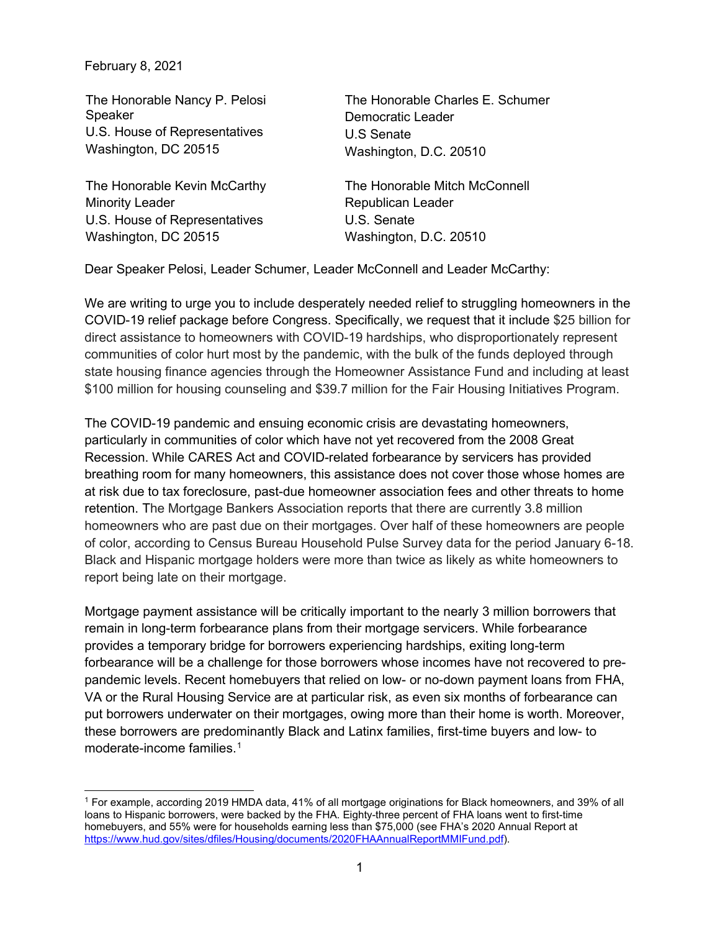February 8, 2021

The Honorable Nancy P. Pelosi Speaker U.S. House of Representatives Washington, DC 20515

The Honorable Kevin McCarthy Minority Leader U.S. House of Representatives Washington, DC 20515

The Honorable Charles E. Schumer Democratic Leader U.S Senate Washington, D.C. 20510

The Honorable Mitch McConnell Republican Leader U.S. Senate Washington, D.C. 20510

Dear Speaker Pelosi, Leader Schumer, Leader McConnell and Leader McCarthy:

We are writing to urge you to include desperately needed relief to struggling homeowners in the COVID-19 relief package before Congress. Specifically, we request that it include \$25 billion for direct assistance to homeowners with COVID-19 hardships, who disproportionately represent communities of color hurt most by the pandemic, with the bulk of the funds deployed through state housing finance agencies through the Homeowner Assistance Fund and including at least \$100 million for housing counseling and \$39.7 million for the Fair Housing Initiatives Program.

The COVID-19 pandemic and ensuing economic crisis are devastating homeowners, particularly in communities of color which have not yet recovered from the 2008 Great Recession. While CARES Act and COVID-related forbearance by servicers has provided breathing room for many homeowners, this assistance does not cover those whose homes are at risk due to tax foreclosure, past-due homeowner association fees and other threats to home retention. The Mortgage Bankers Association reports that there are currently 3.8 million homeowners who are past due on their mortgages. Over half of these homeowners are people of color, according to Census Bureau Household Pulse Survey data for the period January 6-18. Black and Hispanic mortgage holders were more than twice as likely as white homeowners to report being late on their mortgage.

Mortgage payment assistance will be critically important to the nearly 3 million borrowers that remain in long-term forbearance plans from their mortgage servicers. While forbearance provides a temporary bridge for borrowers experiencing hardships, exiting long-term forbearance will be a challenge for those borrowers whose incomes have not recovered to prepandemic levels. Recent homebuyers that relied on low- or no-down payment loans from FHA, VA or the Rural Housing Service are at particular risk, as even six months of forbearance can put borrowers underwater on their mortgages, owing more than their home is worth. Moreover, these borrowers are predominantly Black and Latinx families, first-time buyers and low- to moderate-income families. $^{\rm 1}$  $^{\rm 1}$  $^{\rm 1}$ 

<span id="page-0-0"></span><sup>1</sup> For example, according 2019 HMDA data, 41% of all mortgage originations for Black homeowners, and 39% of all loans to Hispanic borrowers, were backed by the FHA. Eighty-three percent of FHA loans went to first-time homebuyers, and 55% were for households earning less than \$75,000 (see FHA's 2020 Annual Report at [https://www.hud.gov/sites/dfiles/Housing/documents/2020FHAAnnualReportMMIFund.pdf\)](https://www.hud.gov/sites/dfiles/Housing/documents/2020FHAAnnualReportMMIFund.pdf).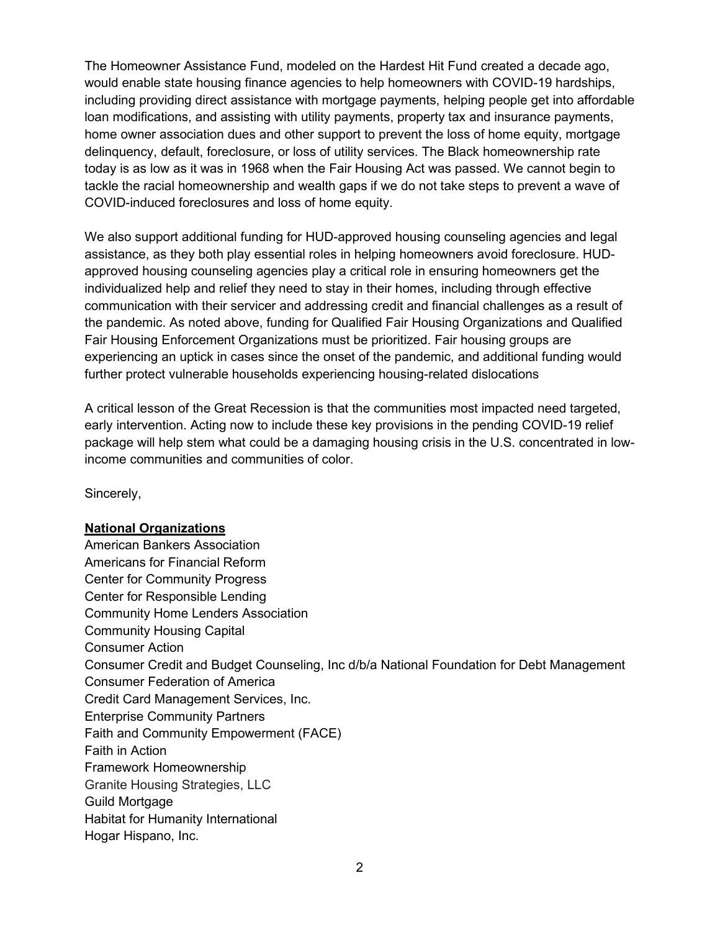The Homeowner Assistance Fund, modeled on the Hardest Hit Fund created a decade ago, would enable state housing finance agencies to help homeowners with COVID-19 hardships, including providing direct assistance with mortgage payments, helping people get into affordable loan modifications, and assisting with utility payments, property tax and insurance payments, home owner association dues and other support to prevent the loss of home equity, mortgage delinquency, default, foreclosure, or loss of utility services. The Black homeownership rate today is as low as it was in 1968 when the Fair Housing Act was passed. We cannot begin to tackle the racial homeownership and wealth gaps if we do not take steps to prevent a wave of COVID-induced foreclosures and loss of home equity.

We also support additional funding for HUD-approved housing counseling agencies and legal assistance, as they both play essential roles in helping homeowners avoid foreclosure. HUDapproved housing counseling agencies play a critical role in ensuring homeowners get the individualized help and relief they need to stay in their homes, including through effective communication with their servicer and addressing credit and financial challenges as a result of the pandemic. As noted above, funding for Qualified Fair Housing Organizations and Qualified Fair Housing Enforcement Organizations must be prioritized. Fair housing groups are experiencing an uptick in cases since the onset of the pandemic, and additional funding would further protect vulnerable households experiencing housing-related dislocations

A critical lesson of the Great Recession is that the communities most impacted need targeted, early intervention. Acting now to include these key provisions in the pending COVID-19 relief package will help stem what could be a damaging housing crisis in the U.S. concentrated in lowincome communities and communities of color.

Sincerely,

## **National Organizations**

American Bankers Association Americans for Financial Reform Center for Community Progress Center for Responsible Lending Community Home Lenders Association Community Housing Capital Consumer Action Consumer Credit and Budget Counseling, Inc d/b/a National Foundation for Debt Management Consumer Federation of America Credit Card Management Services, Inc. Enterprise Community Partners Faith and Community Empowerment (FACE) Faith in Action Framework Homeownership Granite Housing Strategies, LLC Guild Mortgage Habitat for Humanity International Hogar Hispano, Inc.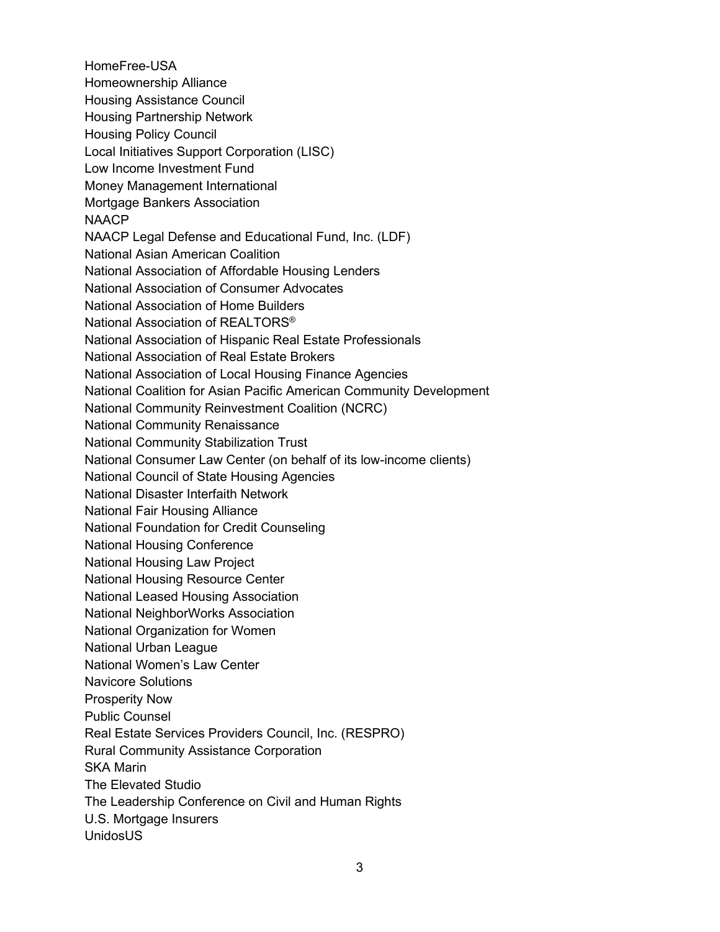HomeFree-USA Homeownership Alliance Housing Assistance Council Housing Partnership Network Housing Policy Council Local Initiatives Support Corporation (LISC) Low Income Investment Fund Money Management International Mortgage Bankers Association **NAACP** NAACP Legal Defense and Educational Fund, Inc. (LDF) National Asian American Coalition National Association of Affordable Housing Lenders National Association of Consumer Advocates National Association of Home Builders National Association of REALTORS® National Association of Hispanic Real Estate Professionals National Association of Real Estate Brokers National Association of Local Housing Finance Agencies National Coalition for Asian Pacific American Community Development National Community Reinvestment Coalition (NCRC) National Community Renaissance National Community Stabilization Trust National Consumer Law Center (on behalf of its low-income clients) National Council of State Housing Agencies National Disaster Interfaith Network National Fair Housing Alliance National Foundation for Credit Counseling National Housing Conference National Housing Law Project National Housing Resource Center National Leased Housing Association National NeighborWorks Association National Organization for Women National Urban League National Women's Law Center Navicore Solutions Prosperity Now Public Counsel Real Estate Services Providers Council, Inc. (RESPRO) Rural Community Assistance Corporation SKA Marin The Elevated Studio The Leadership Conference on Civil and Human Rights U.S. Mortgage Insurers UnidosUS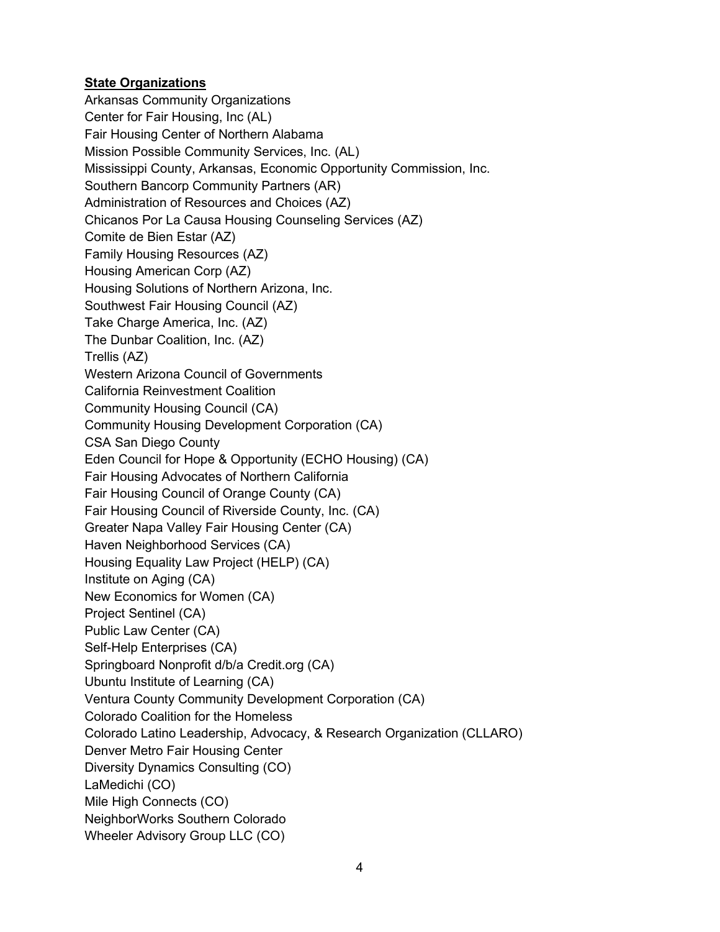## **State Organizations**

Arkansas Community Organizations Center for Fair Housing, Inc (AL) Fair Housing Center of Northern Alabama Mission Possible Community Services, Inc. (AL) Mississippi County, Arkansas, Economic Opportunity Commission, Inc. Southern Bancorp Community Partners (AR) Administration of Resources and Choices (AZ) Chicanos Por La Causa Housing Counseling Services (AZ) Comite de Bien Estar (AZ) Family Housing Resources (AZ) Housing American Corp (AZ) Housing Solutions of Northern Arizona, Inc. Southwest Fair Housing Council (AZ) Take Charge America, Inc. (AZ) The Dunbar Coalition, Inc. (AZ) Trellis (AZ) Western Arizona Council of Governments California Reinvestment Coalition Community Housing Council (CA) Community Housing Development Corporation (CA) CSA San Diego County Eden Council for Hope & Opportunity (ECHO Housing) (CA) Fair Housing Advocates of Northern California Fair Housing Council of Orange County (CA) Fair Housing Council of Riverside County, Inc. (CA) Greater Napa Valley Fair Housing Center (CA) Haven Neighborhood Services (CA) Housing Equality Law Project (HELP) (CA) Institute on Aging (CA) New Economics for Women (CA) Project Sentinel (CA) Public Law Center (CA) Self-Help Enterprises (CA) Springboard Nonprofit d/b/a Credit.org (CA) Ubuntu Institute of Learning (CA) Ventura County Community Development Corporation (CA) Colorado Coalition for the Homeless Colorado Latino Leadership, Advocacy, & Research Organization (CLLARO) Denver Metro Fair Housing Center Diversity Dynamics Consulting (CO) LaMedichi (CO) Mile High Connects (CO) NeighborWorks Southern Colorado Wheeler Advisory Group LLC (CO)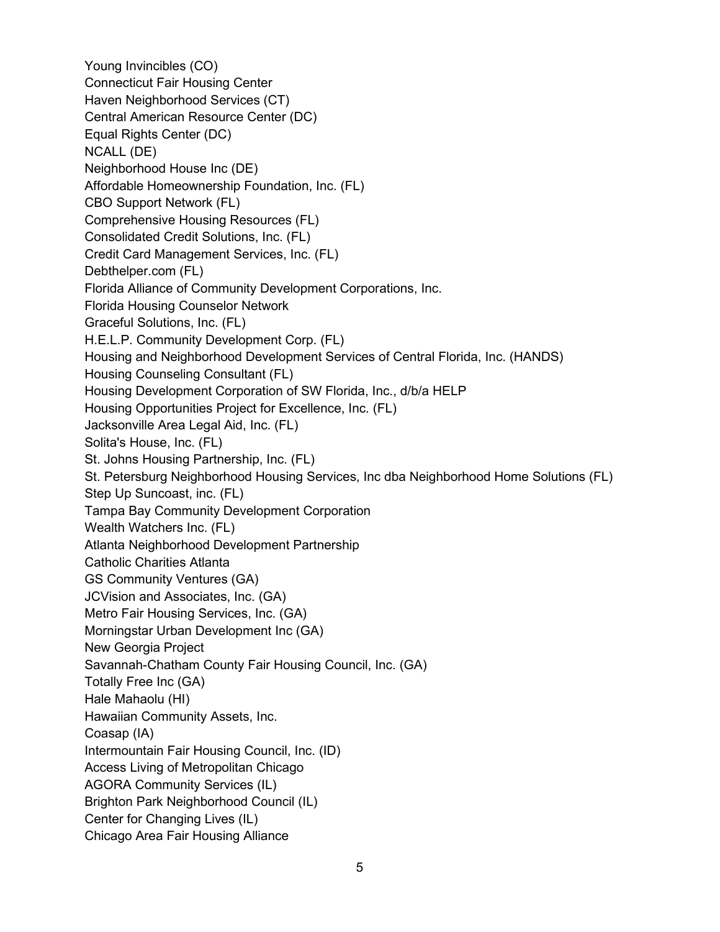Young Invincibles (CO) Connecticut Fair Housing Center Haven Neighborhood Services (CT) Central American Resource Center (DC) Equal Rights Center (DC) NCALL (DE) Neighborhood House Inc (DE) Affordable Homeownership Foundation, Inc. (FL) CBO Support Network (FL) Comprehensive Housing Resources (FL) Consolidated Credit Solutions, Inc. (FL) Credit Card Management Services, Inc. (FL) Debthelper.com (FL) Florida Alliance of Community Development Corporations, Inc. Florida Housing Counselor Network Graceful Solutions, Inc. (FL) H.E.L.P. Community Development Corp. (FL) Housing and Neighborhood Development Services of Central Florida, Inc. (HANDS) Housing Counseling Consultant (FL) Housing Development Corporation of SW Florida, Inc., d/b/a HELP Housing Opportunities Project for Excellence, Inc. (FL) Jacksonville Area Legal Aid, Inc. (FL) Solita's House, Inc. (FL) St. Johns Housing Partnership, Inc. (FL) St. Petersburg Neighborhood Housing Services, Inc dba Neighborhood Home Solutions (FL) Step Up Suncoast, inc. (FL) Tampa Bay Community Development Corporation Wealth Watchers Inc. (FL) Atlanta Neighborhood Development Partnership Catholic Charities Atlanta GS Community Ventures (GA) JCVision and Associates, Inc. (GA) Metro Fair Housing Services, Inc. (GA) Morningstar Urban Development Inc (GA) New Georgia Project Savannah-Chatham County Fair Housing Council, Inc. (GA) Totally Free Inc (GA) Hale Mahaolu (HI) Hawaiian Community Assets, Inc. Coasap (IA) Intermountain Fair Housing Council, Inc. (ID) Access Living of Metropolitan Chicago AGORA Community Services (IL) Brighton Park Neighborhood Council (IL) Center for Changing Lives (IL) Chicago Area Fair Housing Alliance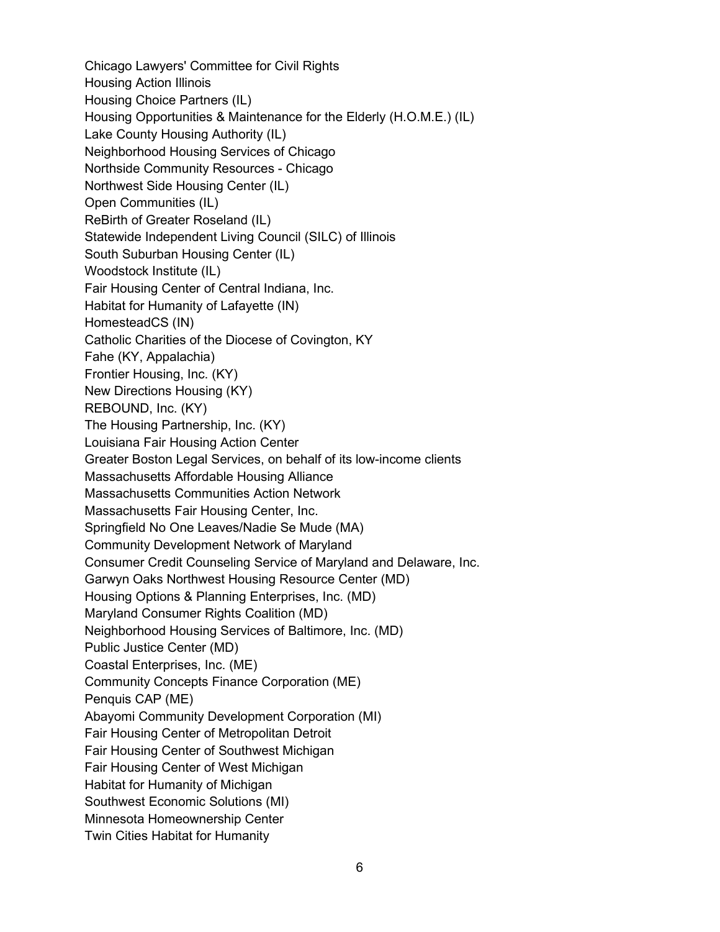Chicago Lawyers' Committee for Civil Rights Housing Action Illinois Housing Choice Partners (IL) Housing Opportunities & Maintenance for the Elderly (H.O.M.E.) (IL) Lake County Housing Authority (IL) Neighborhood Housing Services of Chicago Northside Community Resources - Chicago Northwest Side Housing Center (IL) Open Communities (IL) ReBirth of Greater Roseland (IL) Statewide Independent Living Council (SILC) of Illinois South Suburban Housing Center (IL) Woodstock Institute (IL) Fair Housing Center of Central Indiana, Inc. Habitat for Humanity of Lafayette (IN) HomesteadCS (IN) Catholic Charities of the Diocese of Covington, KY Fahe (KY, Appalachia) Frontier Housing, Inc. (KY) New Directions Housing (KY) REBOUND, Inc. (KY) The Housing Partnership, Inc. (KY) Louisiana Fair Housing Action Center Greater Boston Legal Services, on behalf of its low-income clients Massachusetts Affordable Housing Alliance Massachusetts Communities Action Network Massachusetts Fair Housing Center, Inc. Springfield No One Leaves/Nadie Se Mude (MA) Community Development Network of Maryland Consumer Credit Counseling Service of Maryland and Delaware, Inc. Garwyn Oaks Northwest Housing Resource Center (MD) Housing Options & Planning Enterprises, Inc. (MD) Maryland Consumer Rights Coalition (MD) Neighborhood Housing Services of Baltimore, Inc. (MD) Public Justice Center (MD) Coastal Enterprises, Inc. (ME) Community Concepts Finance Corporation (ME) Penquis CAP (ME) Abayomi Community Development Corporation (MI) Fair Housing Center of Metropolitan Detroit Fair Housing Center of Southwest Michigan Fair Housing Center of West Michigan Habitat for Humanity of Michigan Southwest Economic Solutions (MI) Minnesota Homeownership Center Twin Cities Habitat for Humanity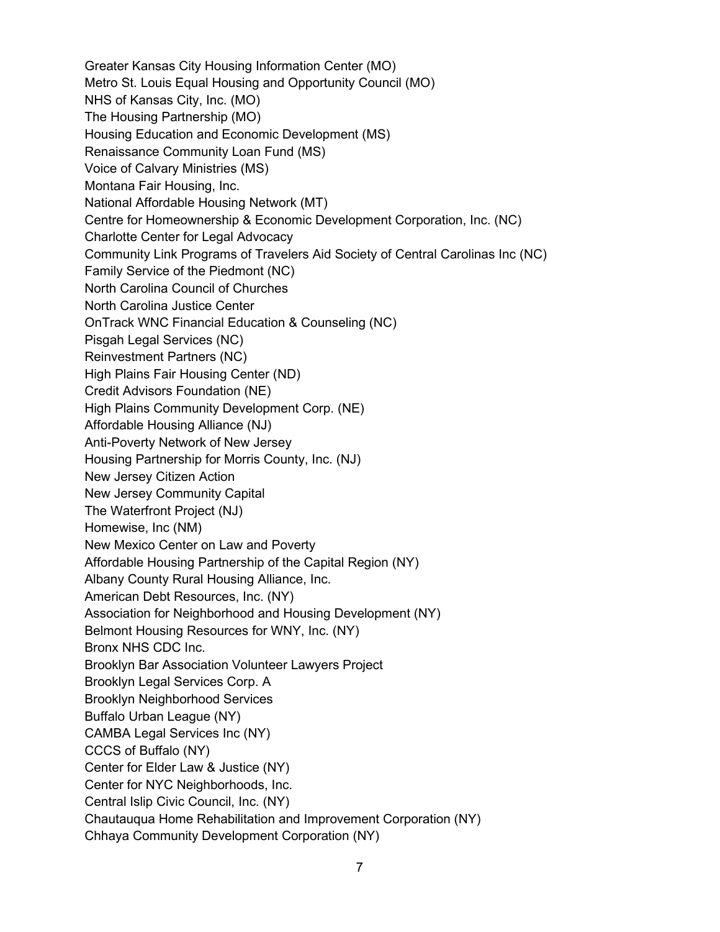Greater Kansas City Housing Information Center (MO) Metro St. Louis Equal Housing and Opportunity Council (MO) NHS of Kansas City, Inc. (MO) The Housing Partnership (MO) Housing Education and Economic Development (MS) Renaissance Community Loan Fund (MS) Voice of Calvary Ministries (MS) Montana Fair Housing, Inc. National Affordable Housing Network (MT) Centre for Homeownership & Economic Development Corporation, Inc. (NC) Charlotte Center for Legal Advocacy Community Link Programs of Travelers Aid Society of Central Carolinas Inc (NC) Family Service of the Piedmont (NC) North Carolina Council of Churches North Carolina Justice Center OnTrack WNC Financial Education & Counseling (NC) Pisgah Legal Services (NC) Reinvestment Partners (NC) High Plains Fair Housing Center (ND) Credit Advisors Foundation (NE) High Plains Community Development Corp. (NE) Affordable Housing Alliance (NJ) Anti-Poverty Network of New Jersey Housing Partnership for Morris County, Inc. (NJ) New Jersey Citizen Action New Jersey Community Capital The Waterfront Project (NJ) Homewise, Inc (NM) New Mexico Center on Law and Poverty Affordable Housing Partnership of the Capital Region (NY) Albany County Rural Housing Alliance, Inc. American Debt Resources, Inc. (NY) Association for Neighborhood and Housing Development (NY) Belmont Housing Resources for WNY, Inc. (NY) Bronx NHS CDC Inc. Brooklyn Bar Association Volunteer Lawyers Project Brooklyn Legal Services Corp. A Brooklyn Neighborhood Services Buffalo Urban League (NY) CAMBA Legal Services Inc (NY) CCCS of Buffalo (NY) Center for Elder Law & Justice (NY) Center for NYC Neighborhoods, Inc. Central Islip Civic Council, Inc. (NY) Chautauqua Home Rehabilitation and Improvement Corporation (NY) Chhaya Community Development Corporation (NY)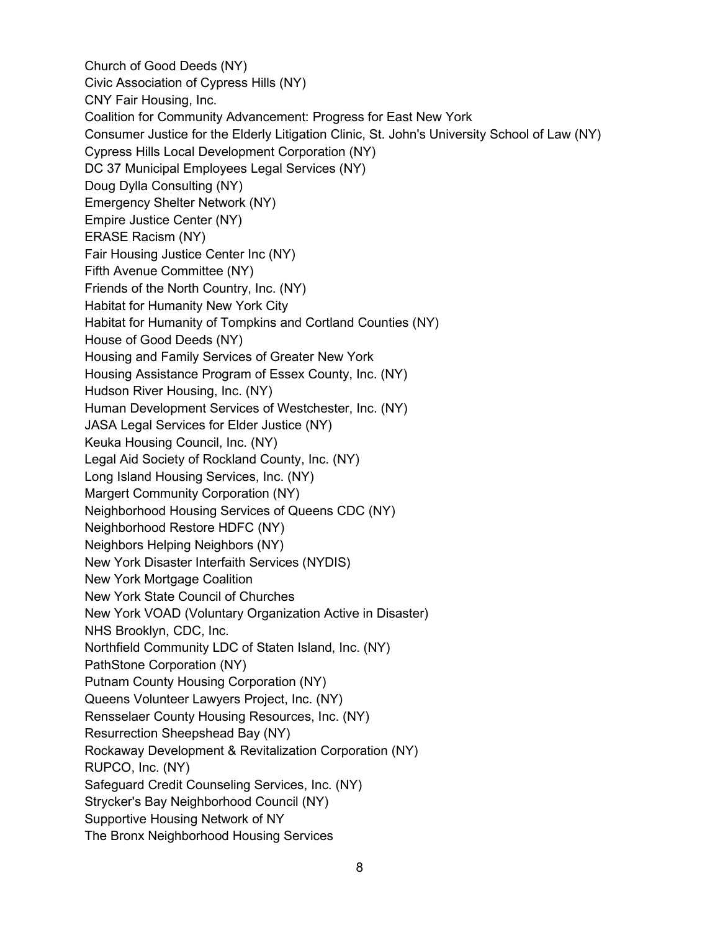Church of Good Deeds (NY) Civic Association of Cypress Hills (NY) CNY Fair Housing, Inc. Coalition for Community Advancement: Progress for East New York Consumer Justice for the Elderly Litigation Clinic, St. John's University School of Law (NY) Cypress Hills Local Development Corporation (NY) DC 37 Municipal Employees Legal Services (NY) Doug Dylla Consulting (NY) Emergency Shelter Network (NY) Empire Justice Center (NY) ERASE Racism (NY) Fair Housing Justice Center Inc (NY) Fifth Avenue Committee (NY) Friends of the North Country, Inc. (NY) Habitat for Humanity New York City Habitat for Humanity of Tompkins and Cortland Counties (NY) House of Good Deeds (NY) Housing and Family Services of Greater New York Housing Assistance Program of Essex County, Inc. (NY) Hudson River Housing, Inc. (NY) Human Development Services of Westchester, Inc. (NY) JASA Legal Services for Elder Justice (NY) Keuka Housing Council, Inc. (NY) Legal Aid Society of Rockland County, Inc. (NY) Long Island Housing Services, Inc. (NY) Margert Community Corporation (NY) Neighborhood Housing Services of Queens CDC (NY) Neighborhood Restore HDFC (NY) Neighbors Helping Neighbors (NY) New York Disaster Interfaith Services (NYDIS) New York Mortgage Coalition New York State Council of Churches New York VOAD (Voluntary Organization Active in Disaster) NHS Brooklyn, CDC, Inc. Northfield Community LDC of Staten Island, Inc. (NY) PathStone Corporation (NY) Putnam County Housing Corporation (NY) Queens Volunteer Lawyers Project, Inc. (NY) Rensselaer County Housing Resources, Inc. (NY) Resurrection Sheepshead Bay (NY) Rockaway Development & Revitalization Corporation (NY) RUPCO, Inc. (NY) Safeguard Credit Counseling Services, Inc. (NY) Strycker's Bay Neighborhood Council (NY) Supportive Housing Network of NY The Bronx Neighborhood Housing Services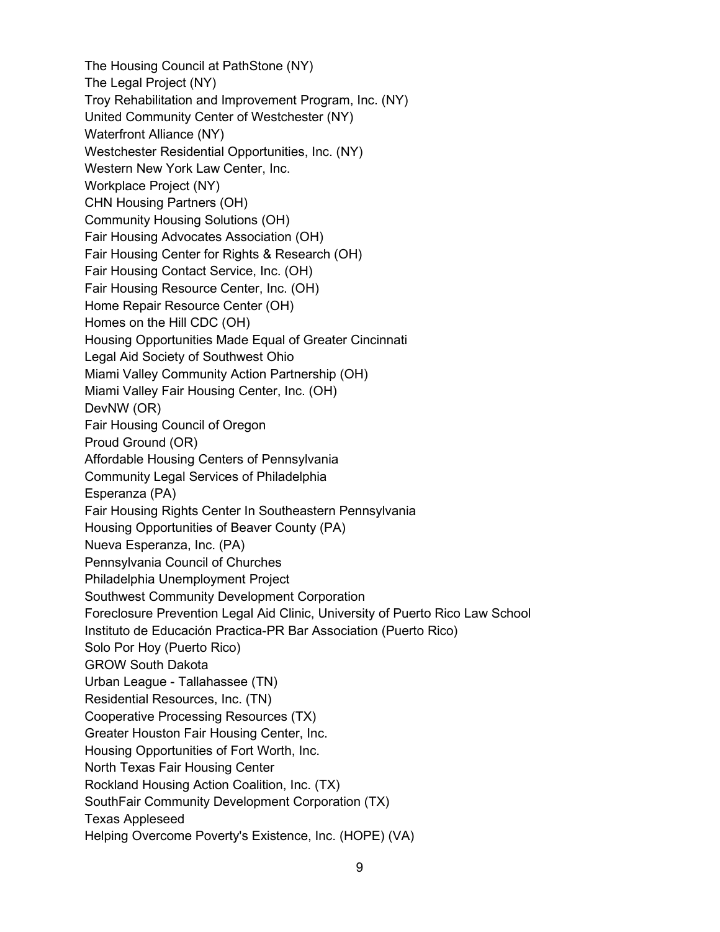The Housing Council at PathStone (NY) The Legal Project (NY) Troy Rehabilitation and Improvement Program, Inc. (NY) United Community Center of Westchester (NY) Waterfront Alliance (NY) Westchester Residential Opportunities, Inc. (NY) Western New York Law Center, Inc. Workplace Project (NY) CHN Housing Partners (OH) Community Housing Solutions (OH) Fair Housing Advocates Association (OH) Fair Housing Center for Rights & Research (OH) Fair Housing Contact Service, Inc. (OH) Fair Housing Resource Center, Inc. (OH) Home Repair Resource Center (OH) Homes on the Hill CDC (OH) Housing Opportunities Made Equal of Greater Cincinnati Legal Aid Society of Southwest Ohio Miami Valley Community Action Partnership (OH) Miami Valley Fair Housing Center, Inc. (OH) DevNW (OR) Fair Housing Council of Oregon Proud Ground (OR) Affordable Housing Centers of Pennsylvania Community Legal Services of Philadelphia Esperanza (PA) Fair Housing Rights Center In Southeastern Pennsylvania Housing Opportunities of Beaver County (PA) Nueva Esperanza, Inc. (PA) Pennsylvania Council of Churches Philadelphia Unemployment Project Southwest Community Development Corporation Foreclosure Prevention Legal Aid Clinic, University of Puerto Rico Law School Instituto de Educación Practica-PR Bar Association (Puerto Rico) Solo Por Hoy (Puerto Rico) GROW South Dakota Urban League - Tallahassee (TN) Residential Resources, Inc. (TN) Cooperative Processing Resources (TX) Greater Houston Fair Housing Center, Inc. Housing Opportunities of Fort Worth, Inc. North Texas Fair Housing Center Rockland Housing Action Coalition, Inc. (TX) SouthFair Community Development Corporation (TX) Texas Appleseed Helping Overcome Poverty's Existence, Inc. (HOPE) (VA)